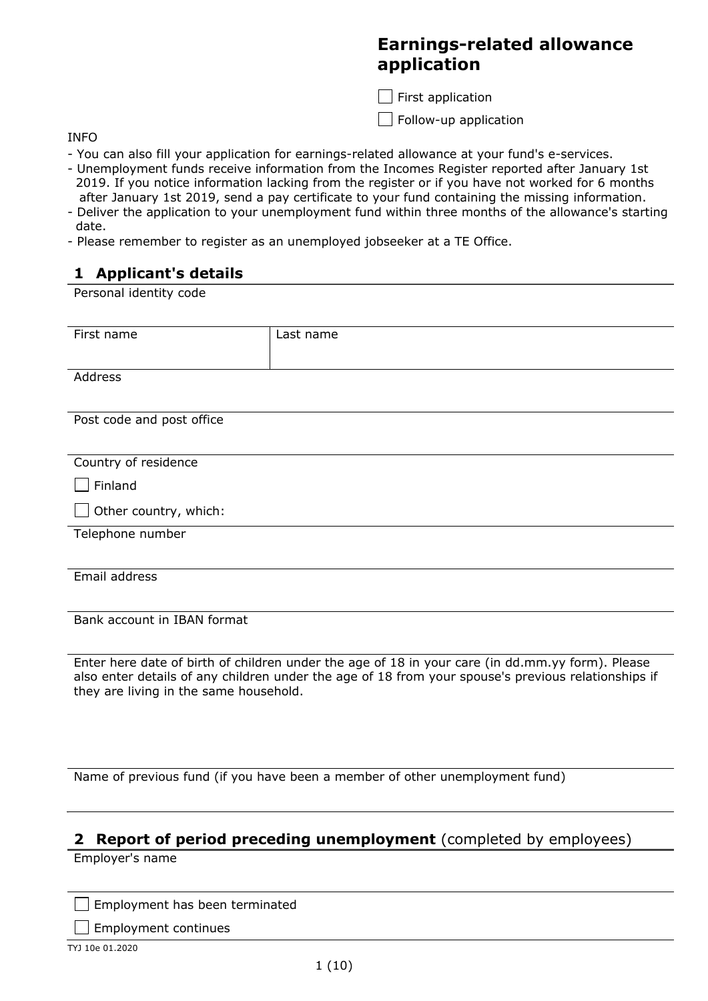# **Earnings-related allowance application**

 $\Box$  First application

Follow-up application

INFO

- You can also fill your application for earnings-related allowance at your fund's e-services.
- Unemployment funds receive information from the Incomes Register reported after January 1st 2019. If you notice information lacking from the register or if you have not worked for 6 months after January 1st 2019, send a pay certificate to your fund containing the missing information.
- Deliver the application to your unemployment fund within three months of the allowance's starting date.
- Please remember to register as an unemployed jobseeker at a TE Office.

# **1 Applicant's details**

Personal identity code

| First name                             | Last name                                                                                                                                                                                               |
|----------------------------------------|---------------------------------------------------------------------------------------------------------------------------------------------------------------------------------------------------------|
| Address                                |                                                                                                                                                                                                         |
| Post code and post office              |                                                                                                                                                                                                         |
| Country of residence                   |                                                                                                                                                                                                         |
| Finland                                |                                                                                                                                                                                                         |
| Other country, which:                  |                                                                                                                                                                                                         |
| Telephone number                       |                                                                                                                                                                                                         |
| Email address                          |                                                                                                                                                                                                         |
| Bank account in IBAN format            |                                                                                                                                                                                                         |
| they are living in the same household. | Enter here date of birth of children under the age of 18 in your care (in dd.mm.yy form). Please<br>also enter details of any children under the age of 18 from your spouse's previous relationships if |

Name of previous fund (if you have been a member of other unemployment fund)

### **2 Report of period preceding unemployment** (completed by employees)

Employer's name

 $\Box$  Employment has been terminated

 $\Box$  Employment continues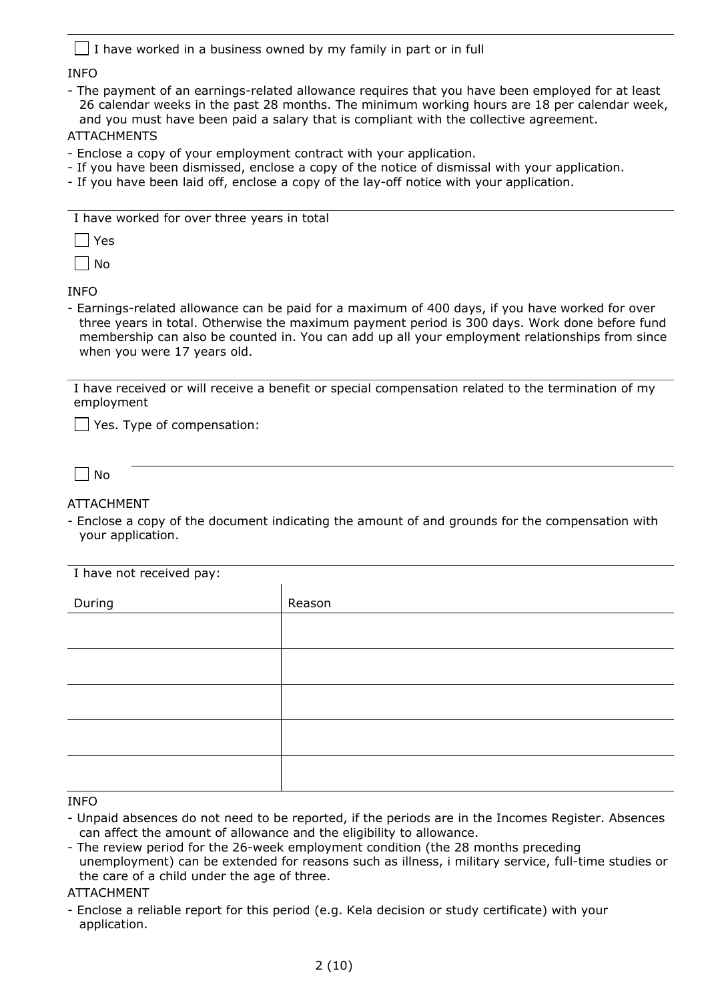|  | $\Box$ I have worked in a business owned by my family in part or in full |  |  |  |  |
|--|--------------------------------------------------------------------------|--|--|--|--|
|--|--------------------------------------------------------------------------|--|--|--|--|

#### INFO

- The payment of an earnings-related allowance requires that you have been employed for at least 26 calendar weeks in the past 28 months. The minimum working hours are 18 per calendar week, and you must have been paid a salary that is compliant with the collective agreement.

#### ATTACHMENTS

- Enclose a copy of your employment contract with your application.
- If you have been dismissed, enclose a copy of the notice of dismissal with your application.
- If you have been laid off, enclose a copy of the lay-off notice with your application.

| I have worked for over three years in total |  |
|---------------------------------------------|--|
|---------------------------------------------|--|

 $\Box$  Yes

 $\Box$  No

INFO

- Earnings-related allowance can be paid for a maximum of 400 days, if you have worked for over three years in total. Otherwise the maximum payment period is 300 days. Work done before fund membership can also be counted in. You can add up all your employment relationships from since when you were 17 years old.

I have received or will receive a benefit or special compensation related to the termination of my employment

 $\Box$  Yes. Type of compensation:

 $\Box$  No

ATTACHMENT

- Enclose a copy of the document indicating the amount of and grounds for the compensation with your application.

| I have not received pay: |        |  |  |  |  |
|--------------------------|--------|--|--|--|--|
| During                   | Reason |  |  |  |  |
|                          |        |  |  |  |  |
|                          |        |  |  |  |  |
|                          |        |  |  |  |  |
|                          |        |  |  |  |  |
|                          |        |  |  |  |  |
|                          |        |  |  |  |  |
|                          |        |  |  |  |  |
|                          |        |  |  |  |  |

#### INFO

- Unpaid absences do not need to be reported, if the periods are in the Incomes Register. Absences can affect the amount of allowance and the eligibility to allowance.
- The review period for the 26-week employment condition (the 28 months preceding unemployment) can be extended for reasons such as illness, i military service, full-time studies or the care of a child under the age of three.

ATTACHMENT

- Enclose a reliable report for this period (e.g. Kela decision or study certificate) with your application.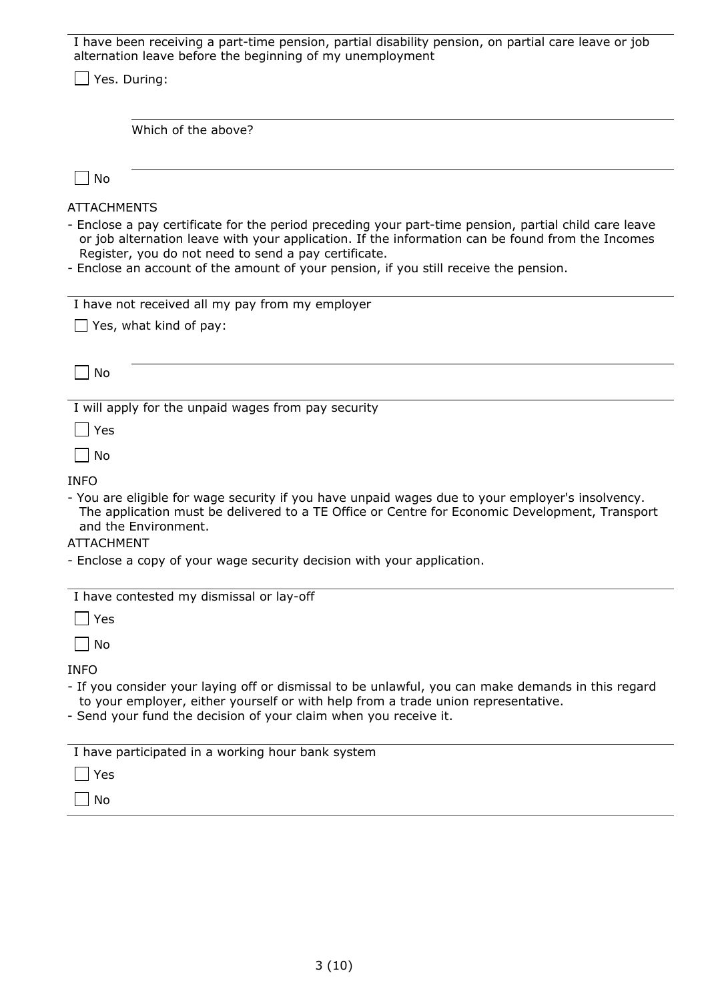| I have been receiving a part-time pension, partial disability pension, on partial care leave or job<br>alternation leave before the beginning of my unemployment                                                                                                                                                                                                                 |
|----------------------------------------------------------------------------------------------------------------------------------------------------------------------------------------------------------------------------------------------------------------------------------------------------------------------------------------------------------------------------------|
| Yes. During:                                                                                                                                                                                                                                                                                                                                                                     |
|                                                                                                                                                                                                                                                                                                                                                                                  |
| Which of the above?                                                                                                                                                                                                                                                                                                                                                              |
|                                                                                                                                                                                                                                                                                                                                                                                  |
| No                                                                                                                                                                                                                                                                                                                                                                               |
| <b>ATTACHMENTS</b><br>- Enclose a pay certificate for the period preceding your part-time pension, partial child care leave<br>or job alternation leave with your application. If the information can be found from the Incomes<br>Register, you do not need to send a pay certificate.<br>- Enclose an account of the amount of your pension, if you still receive the pension. |
| I have not received all my pay from my employer<br>Yes, what kind of pay:                                                                                                                                                                                                                                                                                                        |
|                                                                                                                                                                                                                                                                                                                                                                                  |
| No                                                                                                                                                                                                                                                                                                                                                                               |
| I will apply for the unpaid wages from pay security                                                                                                                                                                                                                                                                                                                              |
| Yes                                                                                                                                                                                                                                                                                                                                                                              |
| No                                                                                                                                                                                                                                                                                                                                                                               |
| <b>INFO</b>                                                                                                                                                                                                                                                                                                                                                                      |
| - You are eligible for wage security if you have unpaid wages due to your employer's insolvency.<br>The application must be delivered to a TE Office or Centre for Economic Development, Transport<br>and the Environment.                                                                                                                                                       |
| <b>ATTACHMENT</b>                                                                                                                                                                                                                                                                                                                                                                |
| - Enclose a copy of your wage security decision with your application.                                                                                                                                                                                                                                                                                                           |
| I have contested my dismissal or lay-off                                                                                                                                                                                                                                                                                                                                         |
| Yes                                                                                                                                                                                                                                                                                                                                                                              |
| No                                                                                                                                                                                                                                                                                                                                                                               |
| <b>INFO</b><br>- If you consider your laying off or dismissal to be unlawful, you can make demands in this regard<br>to your employer, either yourself or with help from a trade union representative.<br>- Send your fund the decision of your claim when you receive it.                                                                                                       |
| I have participated in a working hour bank system                                                                                                                                                                                                                                                                                                                                |
| Yes                                                                                                                                                                                                                                                                                                                                                                              |
| No                                                                                                                                                                                                                                                                                                                                                                               |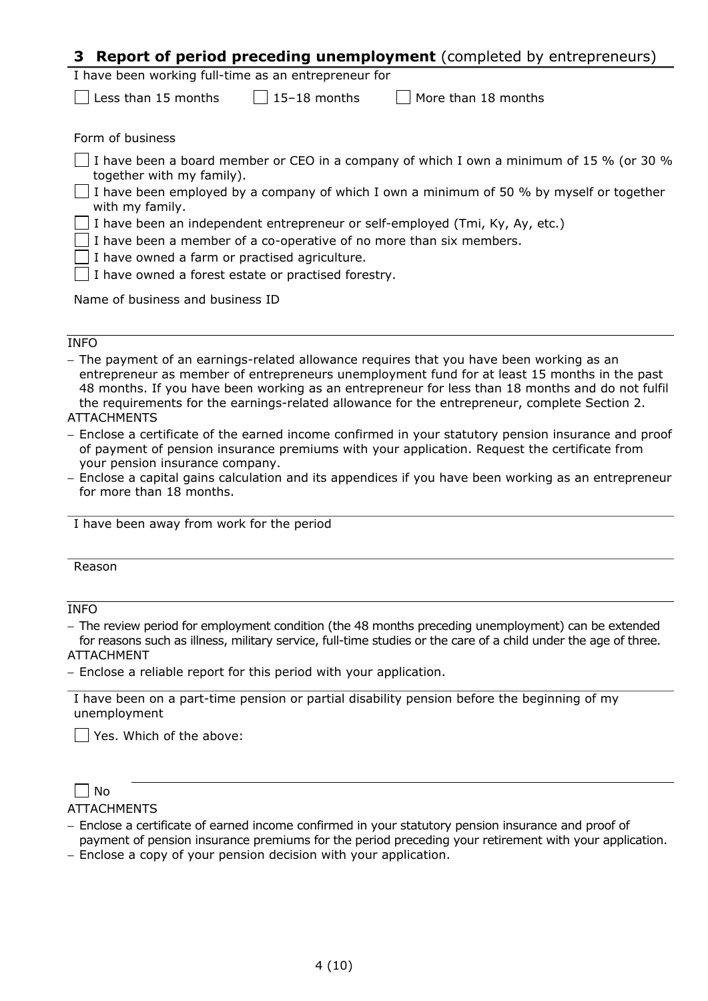## **3 Report of period preceding unemployment** (completed by entrepreneurs)

| I have been working full-time as an entrepreneur for |  |
|------------------------------------------------------|--|
|------------------------------------------------------|--|

 $\Box$  Less than 15 months  $\Box$  15–18 months  $\Box$  More than 18 months

Form of business

 $\Box$  I have been a board member or CEO in a company of which I own a minimum of 15 % (or 30 % together with my family).

 $\Box$  I have been employed by a company of which I own a minimum of 50 % by myself or together with my family.

 $\perp$  I have been an independent entrepreneur or self-employed (Tmi, Ky, Ay, etc.)

I have been a member of a co-operative of no more than six members.

I have owned a farm or practised agriculture.

I have owned a forest estate or practised forestry.

Name of business and business ID

#### INFO

− The payment of an earnings-related allowance requires that you have been working as an entrepreneur as member of entrepreneurs unemployment fund for at least 15 months in the past 48 months. If you have been working as an entrepreneur for less than 18 months and do not fulfil the requirements for the earnings-related allowance for the entrepreneur, complete Section 2.

#### **ATTACHMENTS**

− Enclose a certificate of the earned income confirmed in your statutory pension insurance and proof of payment of pension insurance premiums with your application. Request the certificate from your pension insurance company.

− Enclose a capital gains calculation and its appendices if you have been working as an entrepreneur for more than 18 months.

I have been away from work for the period

#### Reason

INFO

− The review period for employment condition (the 48 months preceding unemployment) can be extended for reasons such as illness, military service, full-time studies or the care of a child under the age of three. ATTACHMENT

− Enclose a reliable report for this period with your application.

I have been on a part-time pension or partial disability pension before the beginning of my unemployment

 $\vert \ \vert$  Yes. Which of the above:

### $\Box$ No

**ATTACHMENTS** 

- − Enclose a certificate of earned income confirmed in your statutory pension insurance and proof of payment of pension insurance premiums for the period preceding your retirement with your application.
- − Enclose a copy of your pension decision with your application.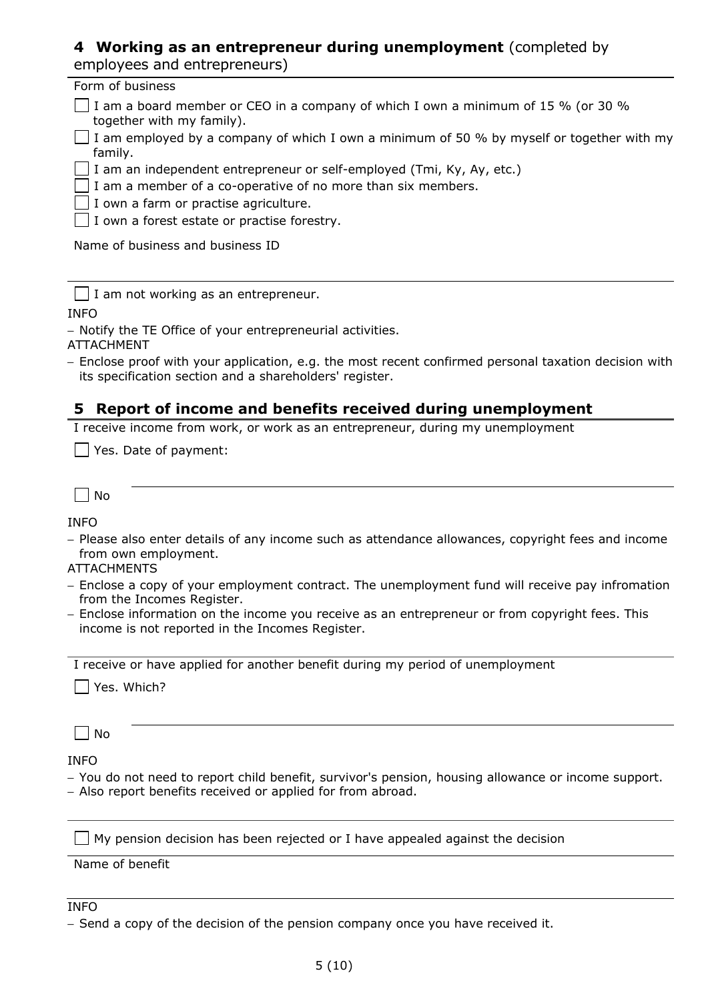# **4 Working as an entrepreneur during unemployment** (completed by

|  | employees and entrepreneurs) |
|--|------------------------------|
|--|------------------------------|

| Form of business                                                                                               |
|----------------------------------------------------------------------------------------------------------------|
| I am a board member or CEO in a company of which I own a minimum of 15 % (or 30 %<br>together with my family). |
| $\perp$ I am employed by a company of which I own a minimum of 50 % by myself or together with my<br>family.   |
| $\Box$ I am an independent entrepreneur or self-employed (Tmi, Ky, Ay, etc.)                                   |
| $\Box$ I am a member of a co-operative of no more than six members.                                            |
| $\Box$ I own a farm or practise agriculture.                                                                   |
| $\Box$ I own a forest estate or practise forestry.                                                             |
| Name of business and business ID                                                                               |

 $\Box$  I am not working as an entrepreneur.

INFO

− Notify the TE Office of your entrepreneurial activities.

ATTACHMENT

− Enclose proof with your application, e.g. the most recent confirmed personal taxation decision with its specification section and a shareholders' register.

### **5 Report of income and benefits received during unemployment**

I receive income from work, or work as an entrepreneur, during my unemployment

Yes. Date of payment:

 $\Box$  No

INFO

− Please also enter details of any income such as attendance allowances, copyright fees and income from own employment.

### ATTACHMENTS

- − Enclose a copy of your employment contract. The unemployment fund will receive pay infromation from the Incomes Register.
- − Enclose information on the income you receive as an entrepreneur or from copyright fees. This income is not reported in the Incomes Register.

I receive or have applied for another benefit during my period of unemployment

Yes. Which?

 $\Box$  No

INFO

− You do not need to report child benefit, survivor's pension, housing allowance or income support.

− Also report benefits received or applied for from abroad.

 $\Box$  My pension decision has been rejected or I have appealed against the decision

Name of benefit

### **INFO**

<sup>−</sup> Send a copy of the decision of the pension company once you have received it.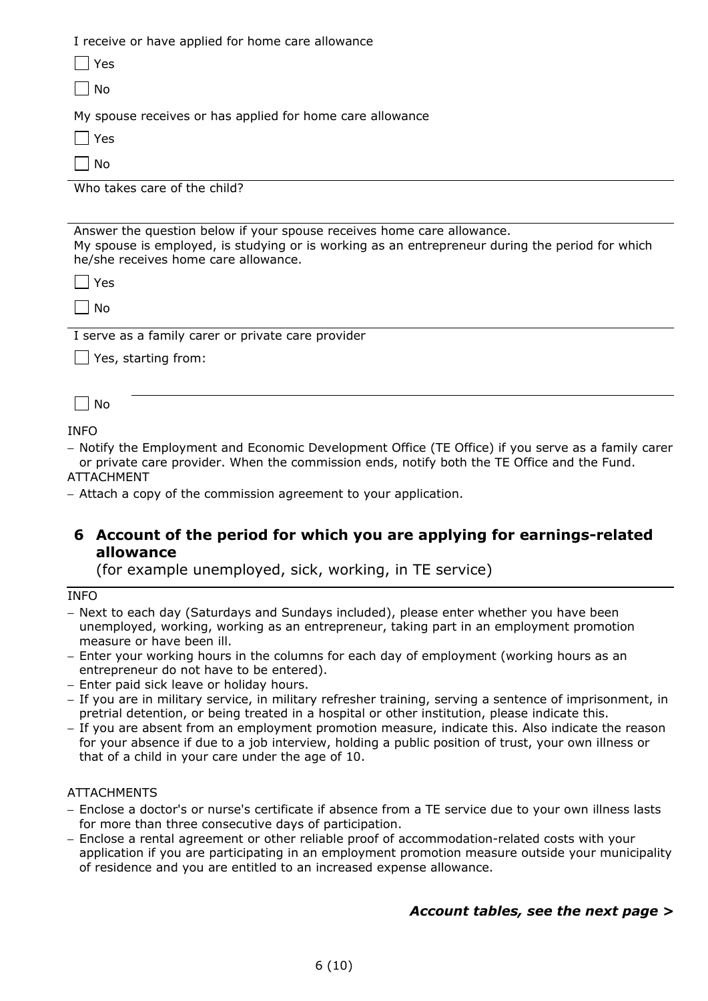I receive or have applied for home care allowance  $\Box$  Yes  $\Box$  No My spouse receives or has applied for home care allowance  $\Box$  Yes  $\Box$  No Who takes care of the child? Answer the question below if your spouse receives home care allowance. My spouse is employed, is studying or is working as an entrepreneur during the period for which he/she receives home care allowance.

| v<br>43<br>۰. |
|---------------|
|               |

 $\Box$  No

I serve as a family carer or private care provider

| Yes, starting from:

 $\Box$  No

INFO

− Notify the Employment and Economic Development Office (TE Office) if you serve as a family carer or private care provider. When the commission ends, notify both the TE Office and the Fund. ATTACHMENT

− Attach a copy of the commission agreement to your application.

### **6 Account of the period for which you are applying for earnings-related allowance**

(for example unemployed, sick, working, in TE service)

INFO

− Next to each day (Saturdays and Sundays included), please enter whether you have been unemployed, working, working as an entrepreneur, taking part in an employment promotion measure or have been ill.

− Enter your working hours in the columns for each day of employment (working hours as an entrepreneur do not have to be entered).

- − Enter paid sick leave or holiday hours.
- − If you are in military service, in military refresher training, serving a sentence of imprisonment, in pretrial detention, or being treated in a hospital or other institution, please indicate this.
- − If you are absent from an employment promotion measure, indicate this. Also indicate the reason for your absence if due to a job interview, holding a public position of trust, your own illness or that of a child in your care under the age of 10.

#### **ATTACHMENTS**

- − Enclose a doctor's or nurse's certificate if absence from a TE service due to your own illness lasts for more than three consecutive days of participation.
- − Enclose a rental agreement or other reliable proof of accommodation-related costs with your application if you are participating in an employment promotion measure outside your municipality of residence and you are entitled to an increased expense allowance.

### *Account tables, see the next page >*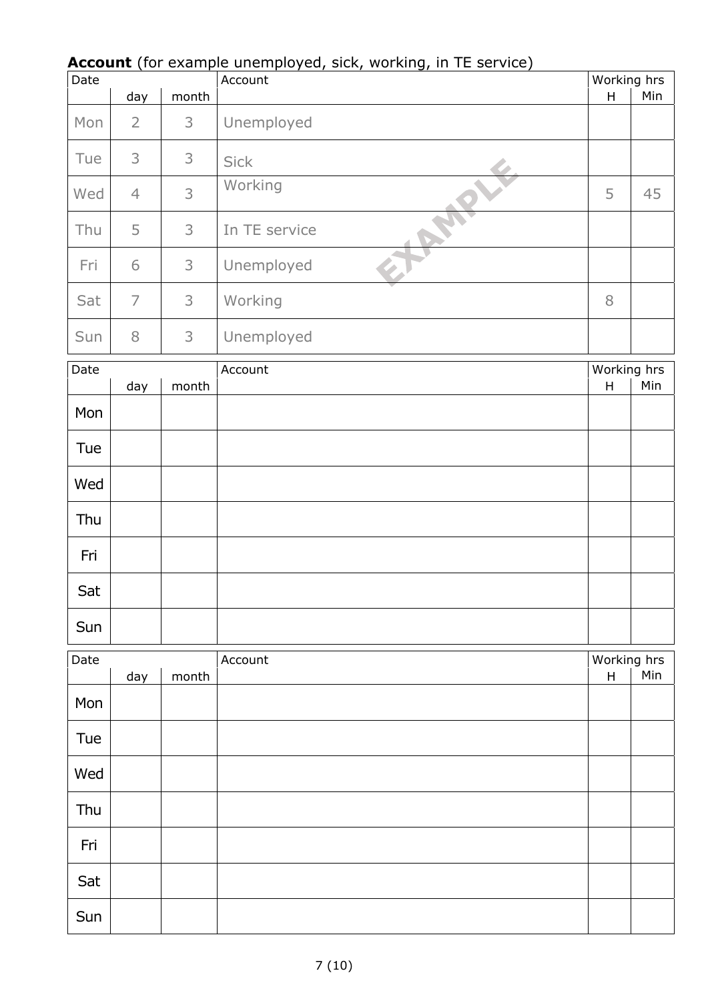### **Account** (for example unemployed, sick, working, in TE service)

| Date                            |                |       | <b>Account</b> (for example unemployed, sick, working, in TE service)<br>Account |                                          | Working hrs |
|---------------------------------|----------------|-------|----------------------------------------------------------------------------------|------------------------------------------|-------------|
|                                 | day            | month |                                                                                  | H                                        | Min         |
| Mon                             | $\overline{2}$ | 3     | Unemployed                                                                       |                                          |             |
| Tue                             | 3              | 3     | <b>Sick</b>                                                                      |                                          |             |
| Wed                             | $\overline{4}$ | 3     | Working                                                                          | 5                                        | 45          |
| Thu                             | 5              | 3     | In TE service                                                                    |                                          |             |
| Fri                             | 6              | 3     | Unemployed                                                                       |                                          |             |
| Sat                             | $\overline{7}$ | 3     | Working                                                                          | 8                                        |             |
| Sun                             | $8\,$          | 3     | Unemployed                                                                       |                                          |             |
| Date<br>Account<br>day<br>month |                |       | Working hrs<br>Min<br>$\sf H$                                                    |                                          |             |
| Mon                             |                |       |                                                                                  |                                          |             |
| Tue                             |                |       |                                                                                  |                                          |             |
| Wed                             |                |       |                                                                                  |                                          |             |
| Thu                             |                |       |                                                                                  |                                          |             |
| Fri                             |                |       |                                                                                  |                                          |             |
| Sat                             |                |       |                                                                                  |                                          |             |
| Sun                             |                |       |                                                                                  |                                          |             |
| Date                            | day            | month | Account                                                                          | Working hrs<br>$\boldsymbol{\mathsf{H}}$ | Min         |
| Mon                             |                |       |                                                                                  |                                          |             |
| Tue                             |                |       |                                                                                  |                                          |             |
| Wed                             |                |       |                                                                                  |                                          |             |
| Thu                             |                |       |                                                                                  |                                          |             |
| Fri                             |                |       |                                                                                  |                                          |             |
| Sat                             |                |       |                                                                                  |                                          |             |
| Sun                             |                |       |                                                                                  |                                          |             |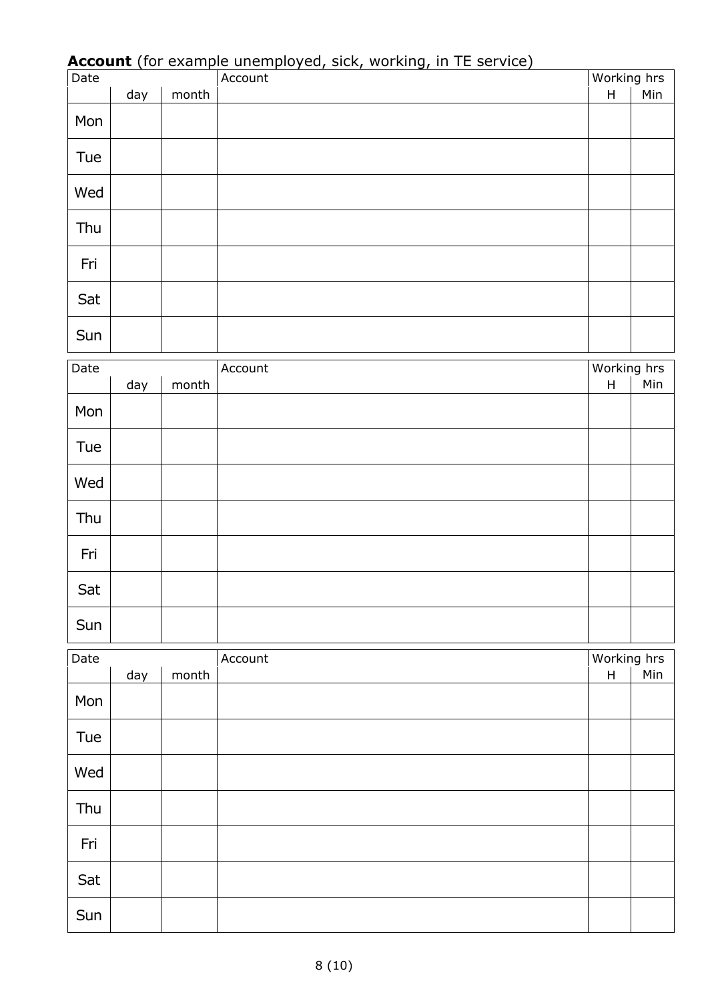| $\overline{Date}$ |     |       | $\frac{1}{2}$ and $\frac{1}{2}$ and $\frac{1}{2}$ and $\frac{1}{2}$ and $\frac{1}{2}$ and $\frac{1}{2}$ and $\frac{1}{2}$ and $\frac{1}{2}$ and $\frac{1}{2}$ and $\frac{1}{2}$ and $\frac{1}{2}$ and $\frac{1}{2}$ and $\frac{1}{2}$ and $\frac{1}{2}$ and $\frac{1}{2}$ and $\frac{1}{2}$ a<br>Account | Working hrs                              |     |
|-------------------|-----|-------|----------------------------------------------------------------------------------------------------------------------------------------------------------------------------------------------------------------------------------------------------------------------------------------------------------|------------------------------------------|-----|
|                   | day | month |                                                                                                                                                                                                                                                                                                          | $\sf H$                                  | Min |
|                   |     |       |                                                                                                                                                                                                                                                                                                          |                                          |     |
| Mon               |     |       |                                                                                                                                                                                                                                                                                                          |                                          |     |
| Tue               |     |       |                                                                                                                                                                                                                                                                                                          |                                          |     |
| Wed               |     |       |                                                                                                                                                                                                                                                                                                          |                                          |     |
| Thu               |     |       |                                                                                                                                                                                                                                                                                                          |                                          |     |
| Fri               |     |       |                                                                                                                                                                                                                                                                                                          |                                          |     |
| Sat               |     |       |                                                                                                                                                                                                                                                                                                          |                                          |     |
| Sun               |     |       |                                                                                                                                                                                                                                                                                                          |                                          |     |
|                   |     |       |                                                                                                                                                                                                                                                                                                          |                                          |     |
| Date              | day | month | Account                                                                                                                                                                                                                                                                                                  | Working hrs<br>$\boldsymbol{\mathsf{H}}$ | Min |
| Mon               |     |       |                                                                                                                                                                                                                                                                                                          |                                          |     |
| Tue               |     |       |                                                                                                                                                                                                                                                                                                          |                                          |     |
| Wed               |     |       |                                                                                                                                                                                                                                                                                                          |                                          |     |
| Thu               |     |       |                                                                                                                                                                                                                                                                                                          |                                          |     |
| Fri               |     |       |                                                                                                                                                                                                                                                                                                          |                                          |     |
| Sat               |     |       |                                                                                                                                                                                                                                                                                                          |                                          |     |
| Sun               |     |       |                                                                                                                                                                                                                                                                                                          |                                          |     |
|                   |     |       |                                                                                                                                                                                                                                                                                                          |                                          |     |
| Date              | day | month | Account                                                                                                                                                                                                                                                                                                  | Working hrs<br>$\sf H$                   | Min |
| Mon               |     |       |                                                                                                                                                                                                                                                                                                          |                                          |     |
| Tue               |     |       |                                                                                                                                                                                                                                                                                                          |                                          |     |
| Wed               |     |       |                                                                                                                                                                                                                                                                                                          |                                          |     |
| Thu               |     |       |                                                                                                                                                                                                                                                                                                          |                                          |     |
| Fri               |     |       |                                                                                                                                                                                                                                                                                                          |                                          |     |
| Sat               |     |       |                                                                                                                                                                                                                                                                                                          |                                          |     |
| Sun               |     |       |                                                                                                                                                                                                                                                                                                          |                                          |     |

# **Account** (for example unemployed, sick, working, in TE service)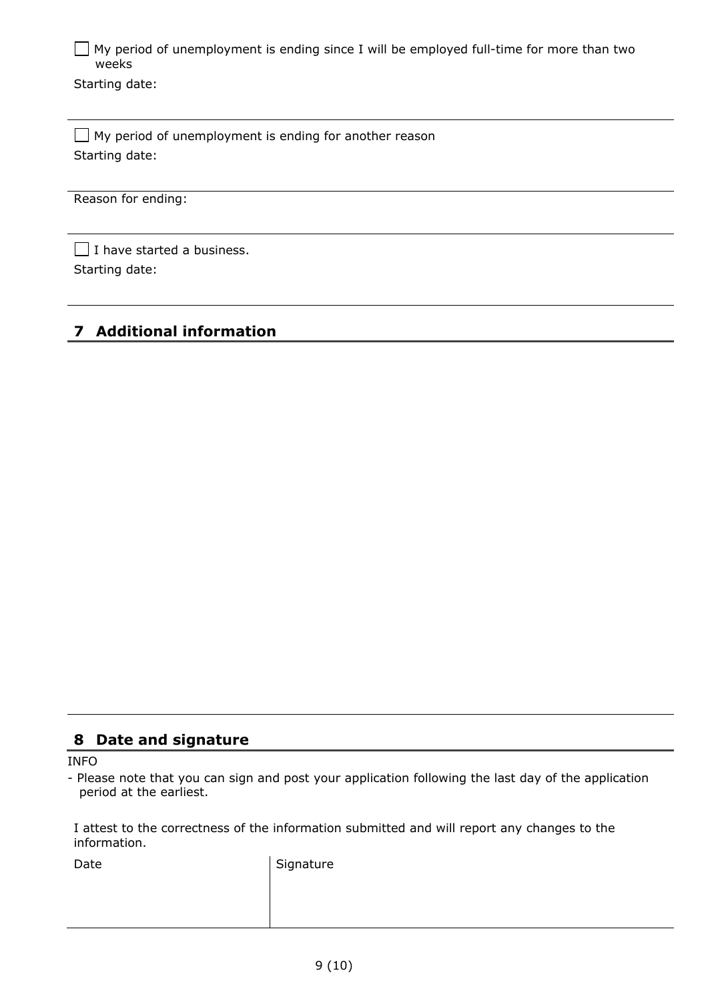$\Box$  My period of unemployment is ending since I will be employed full-time for more than two weeks

Starting date:

 $\Box$  My period of unemployment is ending for another reason Starting date:

Reason for ending:

 $\Box$  I have started a business. Starting date:

# **7 Additional information**

### **8 Date and signature**

INFO

- Please note that you can sign and post your application following the last day of the application period at the earliest.

I attest to the correctness of the information submitted and will report any changes to the information.

Date Signature